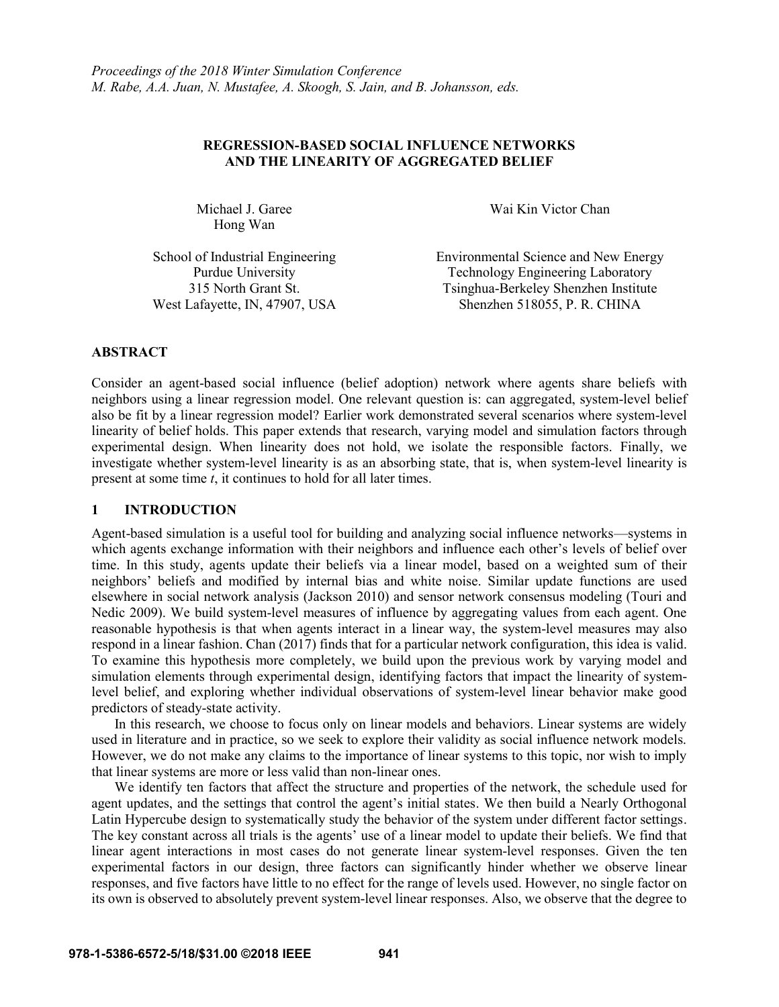# **REGRESSION-BASED SOCIAL INFLUENCE NETWORKS AND THE LINEARITY OF AGGREGATED BELIEF**

Hong Wan

Michael J. Garee Wai Kin Victor Chan

School of Industrial Engineering Environmental Science and New Energy Purdue University Technology Engineering Laboratory 315 North Grant St. Tsinghua-Berkeley Shenzhen Institute West Lafayette, IN, 47907, USA Shenzhen 518055, P. R. CHINA

# **ABSTRACT**

Consider an agent-based social influence (belief adoption) network where agents share beliefs with neighbors using a linear regression model. One relevant question is: can aggregated, system-level belief also be fit by a linear regression model? Earlier work demonstrated several scenarios where system-level linearity of belief holds. This paper extends that research, varying model and simulation factors through experimental design. When linearity does not hold, we isolate the responsible factors. Finally, we investigate whether system-level linearity is as an absorbing state, that is, when system-level linearity is present at some time *t*, it continues to hold for all later times.

## **1 INTRODUCTION**

Agent-based simulation is a useful tool for building and analyzing social influence networks—systems in which agents exchange information with their neighbors and influence each other's levels of belief over time. In this study, agents update their beliefs via a linear model, based on a weighted sum of their neighbors' beliefs and modified by internal bias and white noise. Similar update functions are used elsewhere in social network analysis (Jackson 2010) and sensor network consensus modeling (Touri and Nedic 2009). We build system-level measures of influence by aggregating values from each agent. One reasonable hypothesis is that when agents interact in a linear way, the system-level measures may also respond in a linear fashion. Chan (2017) finds that for a particular network configuration, this idea is valid. To examine this hypothesis more completely, we build upon the previous work by varying model and simulation elements through experimental design, identifying factors that impact the linearity of systemlevel belief, and exploring whether individual observations of system-level linear behavior make good predictors of steady-state activity.

In this research, we choose to focus only on linear models and behaviors. Linear systems are widely used in literature and in practice, so we seek to explore their validity as social influence network models. However, we do not make any claims to the importance of linear systems to this topic, nor wish to imply that linear systems are more or less valid than non-linear ones.

We identify ten factors that affect the structure and properties of the network, the schedule used for agent updates, and the settings that control the agent's initial states. We then build a Nearly Orthogonal Latin Hypercube design to systematically study the behavior of the system under different factor settings. The key constant across all trials is the agents' use of a linear model to update their beliefs. We find that linear agent interactions in most cases do not generate linear system-level responses. Given the ten experimental factors in our design, three factors can significantly hinder whether we observe linear responses, and five factors have little to no effect for the range of levels used. However, no single factor on its own is observed to absolutely prevent system-level linear responses. Also, we observe that the degree to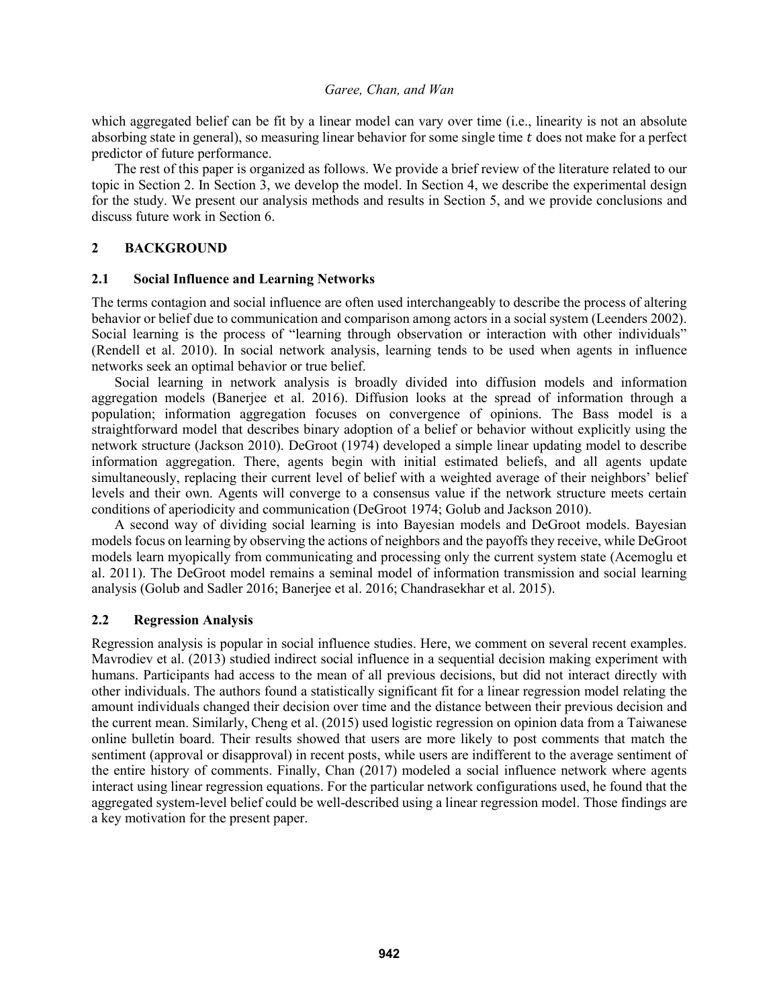which aggregated belief can be fit by a linear model can vary over time (i.e., linearity is not an absolute absorbing state in general), so measuring linear behavior for some single time t does not make for a perfect predictor of future performance.

The rest of this paper is organized as follows. We provide a brief review of the literature related to our topic in Section 2. In Section 3, we develop the model. In Section 4, we describe the experimental design for the study. We present our analysis methods and results in Section 5, and we provide conclusions and discuss future work in Section 6.

# **2 BACKGROUND**

## **2.1 Social Influence and Learning Networks**

The terms contagion and social influence are often used interchangeably to describe the process of altering behavior or belief due to communication and comparison among actors in a social system (Leenders 2002). Social learning is the process of "learning through observation or interaction with other individuals" (Rendell et al. 2010). In social network analysis, learning tends to be used when agents in influence networks seek an optimal behavior or true belief.

Social learning in network analysis is broadly divided into diffusion models and information aggregation models (Banerjee et al. 2016). Diffusion looks at the spread of information through a population; information aggregation focuses on convergence of opinions. The Bass model is a straightforward model that describes binary adoption of a belief or behavior without explicitly using the network structure (Jackson 2010). DeGroot (1974) developed a simple linear updating model to describe information aggregation. There, agents begin with initial estimated beliefs, and all agents update simultaneously, replacing their current level of belief with a weighted average of their neighbors' belief levels and their own. Agents will converge to a consensus value if the network structure meets certain conditions of aperiodicity and communication (DeGroot 1974; Golub and Jackson 2010).

A second way of dividing social learning is into Bayesian models and DeGroot models. Bayesian models focus on learning by observing the actions of neighbors and the payoffs they receive, while DeGroot models learn myopically from communicating and processing only the current system state (Acemoglu et al. 2011). The DeGroot model remains a seminal model of information transmission and social learning analysis (Golub and Sadler 2016; Banerjee et al. 2016; Chandrasekhar et al. 2015).

## **2.2 Regression Analysis**

Regression analysis is popular in social influence studies. Here, we comment on several recent examples. Mavrodiev et al. (2013) studied indirect social influence in a sequential decision making experiment with humans. Participants had access to the mean of all previous decisions, but did not interact directly with other individuals. The authors found a statistically significant fit for a linear regression model relating the amount individuals changed their decision over time and the distance between their previous decision and the current mean. Similarly, Cheng et al. (2015) used logistic regression on opinion data from a Taiwanese online bulletin board. Their results showed that users are more likely to post comments that match the sentiment (approval or disapproval) in recent posts, while users are indifferent to the average sentiment of the entire history of comments. Finally, Chan (2017) modeled a social influence network where agents interact using linear regression equations. For the particular network configurations used, he found that the aggregated system-level belief could be well-described using a linear regression model. Those findings are a key motivation for the present paper.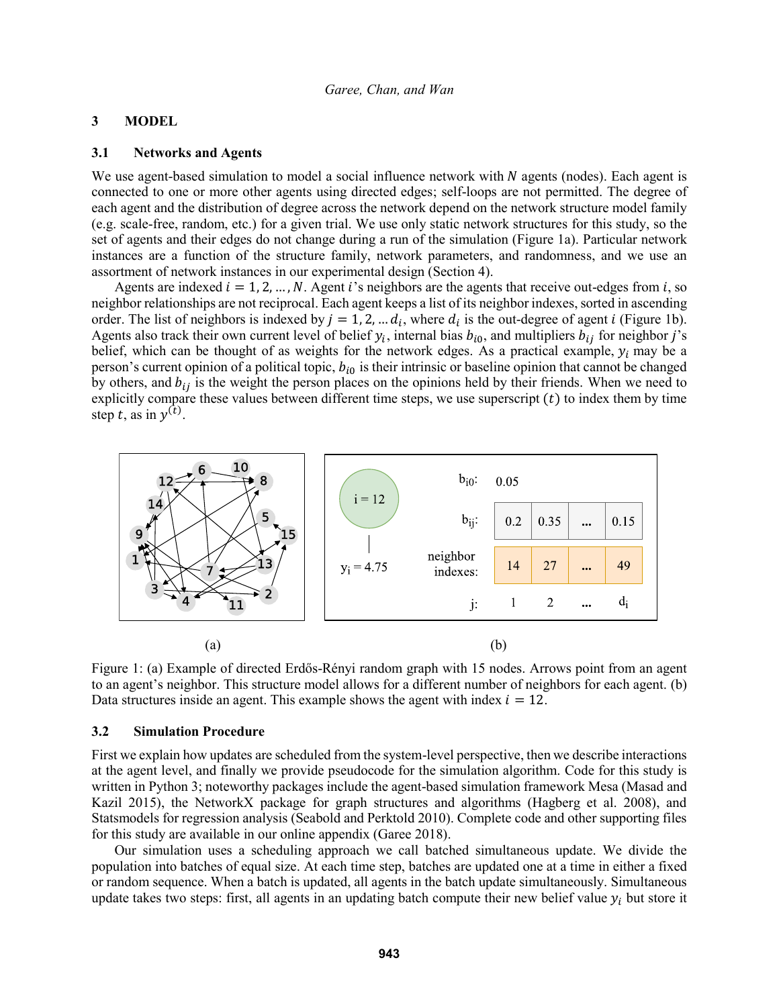# **3 MODEL**

## **3.1 Networks and Agents**

We use agent-based simulation to model a social influence network with  $N$  agents (nodes). Each agent is connected to one or more other agents using directed edges; self-loops are not permitted. The degree of each agent and the distribution of degree across the network depend on the network structure model family (e.g. scale-free, random, etc.) for a given trial. We use only static network structures for this study, so the set of agents and their edges do not change during a run of the simulation (Figure 1a). Particular network instances are a function of the structure family, network parameters, and randomness, and we use an assortment of network instances in our experimental design (Section 4).

Agents are indexed  $i = 1, 2, ..., N$ . Agent i's neighbors are the agents that receive out-edges from i, so neighbor relationships are not reciprocal. Each agent keeps a list of its neighbor indexes, sorted in ascending order. The list of neighbors is indexed by  $j = 1, 2, \dots d_i$ , where  $d_i$  is the out-degree of agent *i* (Figure 1b). Agents also track their own current level of belief  $y_i$ , internal bias  $b_{i0}$ , and multipliers  $b_{ij}$  for neighbor j's belief, which can be thought of as weights for the network edges. As a practical example,  $y_i$  may be a person's current opinion of a political topic,  $b_{i0}$  is their intrinsic or baseline opinion that cannot be changed by others, and  $b_{ij}$  is the weight the person places on the opinions held by their friends. When we need to explicitly compare these values between different time steps, we use superscript  $(t)$  to index them by time step t, as in  $y^{(t)}$ .



Figure 1: (a) Example of directed Erdős-Rényi random graph with 15 nodes. Arrows point from an agent to an agent's neighbor. This structure model allows for a different number of neighbors for each agent. (b) Data structures inside an agent. This example shows the agent with index  $i = 12$ .

#### **3.2 Simulation Procedure**

First we explain how updates are scheduled from the system-level perspective, then we describe interactions at the agent level, and finally we provide pseudocode for the simulation algorithm. Code for this study is written in Python 3; noteworthy packages include the agent-based simulation framework Mesa (Masad and Kazil 2015), the NetworkX package for graph structures and algorithms (Hagberg et al. 2008), and Statsmodels for regression analysis (Seabold and Perktold 2010). Complete code and other supporting files for this study are available in our online appendix (Garee 2018).

Our simulation uses a scheduling approach we call batched simultaneous update. We divide the population into batches of equal size. At each time step, batches are updated one at a time in either a fixed or random sequence. When a batch is updated, all agents in the batch update simultaneously. Simultaneous update takes two steps: first, all agents in an updating batch compute their new belief value  $y_i$  but store it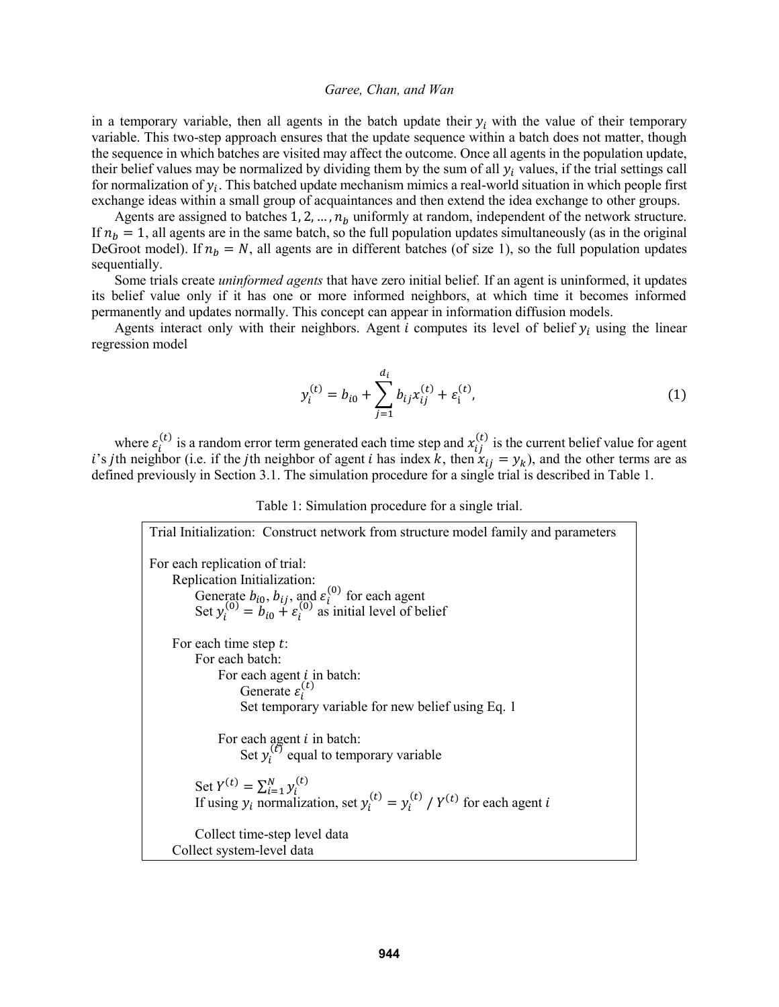in a temporary variable, then all agents in the batch update their  $y_i$  with the value of their temporary variable. This two-step approach ensures that the update sequence within a batch does not matter, though the sequence in which batches are visited may affect the outcome. Once all agents in the population update, their belief values may be normalized by dividing them by the sum of all  $y_i$  values, if the trial settings call for normalization of  $y_i$ . This batched update mechanism mimics a real-world situation in which people first exchange ideas within a small group of acquaintances and then extend the idea exchange to other groups.

Agents are assigned to batches 1, 2, ...,  $n<sub>b</sub>$  uniformly at random, independent of the network structure. If  $n<sub>b</sub> = 1$ , all agents are in the same batch, so the full population updates simultaneously (as in the original DeGroot model). If  $n_b = N$ , all agents are in different batches (of size 1), so the full population updates sequentially.

Some trials create *uninformed agents* that have zero initial belief*.* If an agent is uninformed, it updates its belief value only if it has one or more informed neighbors, at which time it becomes informed permanently and updates normally. This concept can appear in information diffusion models.

Agents interact only with their neighbors. Agent  $i$  computes its level of belief  $y_i$  using the linear regression model

$$
y_i^{(t)} = b_{i0} + \sum_{j=1}^{d_i} b_{ij} x_{ij}^{(t)} + \varepsilon_i^{(t)},
$$
\n(1)

where  $\varepsilon_i^{(t)}$  is a random error term generated each time step and  $x_{ij}^{(t)}$  is the current belief value for agent i's jth neighbor (i.e. if the jth neighbor of agent *i* has index k, then  $x_{ij} = y_k$ ), and the other terms are as defined previously in Section 3.1. The simulation procedure for a single trial is described in Table 1.

#### Table 1: Simulation procedure for a single trial.

| Trial Initialization: Construct network from structure model family and parameters                                                                                                                                    |
|-----------------------------------------------------------------------------------------------------------------------------------------------------------------------------------------------------------------------|
| For each replication of trial:<br>Replication Initialization:<br>Generate $b_{i0}$ , $b_{ij}$ , and $\varepsilon_i^{(0)}$ for each agent<br>Set $y_i^{(0)} = b_{i0} + \varepsilon_i^{(0)}$ as initial level of belief |
| For each time step $t$ :<br>For each batch:<br>For each agent <i>i</i> in batch:<br>Generate $\varepsilon_i^{(t)}$<br>Set temporary variable for new belief using Eq. 1                                               |
| For each agent $i$ in batch:<br>Set $y_i^{(\ell)}$ equal to temporary variable                                                                                                                                        |
| Set $Y^{(t)} = \sum_{i=1}^{N} y_i^{(t)}$<br>If using $y_i$ normalization, set $y_i^{(t)} = y_i^{(t)} / Y^{(t)}$ for each agent i<br>Collect time-step level data                                                      |
| Collect system-level data                                                                                                                                                                                             |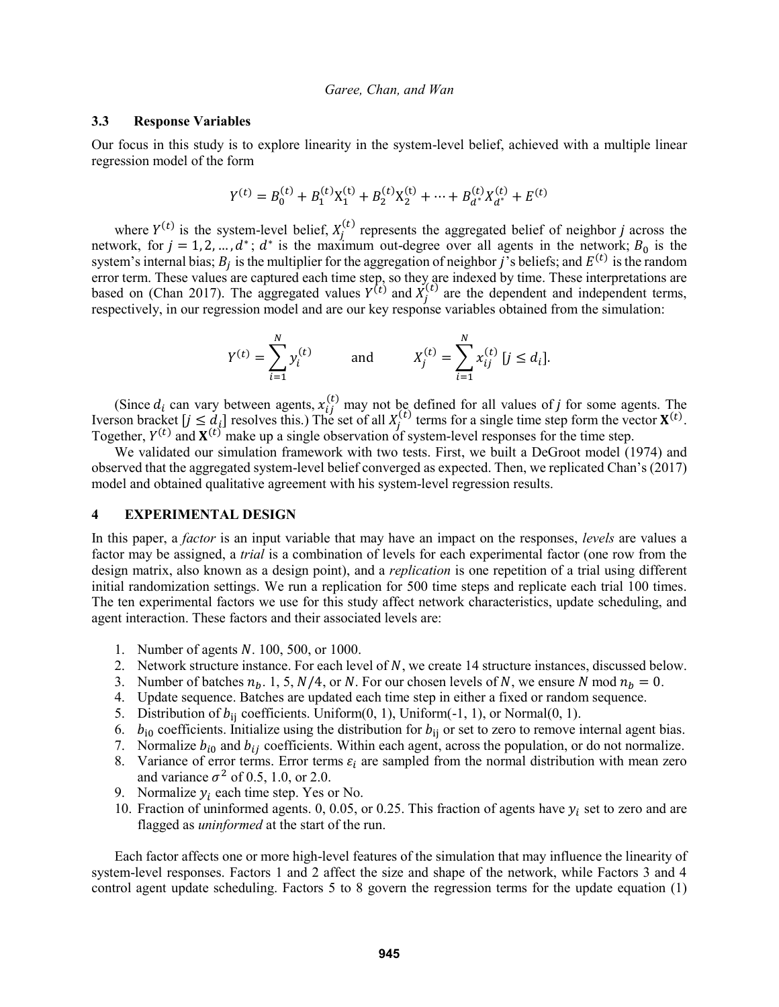#### **3.3 Response Variables**

Our focus in this study is to explore linearity in the system-level belief, achieved with a multiple linear regression model of the form

$$
Y^{(t)} = B_0^{(t)} + B_1^{(t)} X_1^{(t)} + B_2^{(t)} X_2^{(t)} + \dots + B_{d^*}^{(t)} X_{d^*}^{(t)} + E^{(t)}
$$

where  $Y^{(t)}$  is the system-level belief,  $X_j^{(t)}$  represents the aggregated belief of neighbor j across the network, for  $j = 1, 2, ..., d^*$ ;  $d^*$  is the maximum out-degree over all agents in the network;  $B_0$  is the system's internal bias;  $B_j$  is the multiplier for the aggregation of neighbor j's beliefs; and  $E^{(t)}$  is the random error term. These values are captured each time step, so they are indexed by time. These interpretations are based on (Chan 2017). The aggregated values  $Y^{(t)}$  and  $X_j^{(t)}$  are the dependent and independent terms, respectively, in our regression model and are our key response variables obtained from the simulation:

$$
Y^{(t)} = \sum_{i=1}^{N} y_i^{(t)} \quad \text{and} \quad X_j^{(t)} = \sum_{i=1}^{N} x_{ij}^{(t)} \ [j \le d_i].
$$

(Since  $d_i$  can vary between agents,  $x_{ij}^{(t)}$  may not be defined for all values of j for some agents. The Iverson bracket  $[j \leq d_i]$  resolves this.) The set of all  $X_j^{(t)}$  terms for a single time step form the vector  $\mathbf{X}^{(t)}$ . Together,  $Y^{(t)}$  and  $X^{(t)}$  make up a single observation of system-level responses for the time step.

We validated our simulation framework with two tests. First, we built a DeGroot model (1974) and observed that the aggregated system-level belief converged as expected. Then, we replicated Chan's (2017) model and obtained qualitative agreement with his system-level regression results.

#### **4 EXPERIMENTAL DESIGN**

In this paper, a *factor* is an input variable that may have an impact on the responses, *levels* are values a factor may be assigned, a *trial* is a combination of levels for each experimental factor (one row from the design matrix, also known as a design point), and a *replication* is one repetition of a trial using different initial randomization settings. We run a replication for 500 time steps and replicate each trial 100 times. The ten experimental factors we use for this study affect network characteristics, update scheduling, and agent interaction. These factors and their associated levels are:

- 1. Number of agents  $N. 100, 500,$  or 1000.
- 2. Network structure instance. For each level of  $N$ , we create 14 structure instances, discussed below.
- 3. Number of batches  $n_b$ . 1, 5,  $N/4$ , or N. For our chosen levels of N, we ensure N mod  $n_b = 0$ .
- 4. Update sequence. Batches are updated each time step in either a fixed or random sequence.
- 5. Distribution of  $b_{ii}$  coefficients. Uniform $(0, 1)$ , Uniform $(-1, 1)$ , or Normal $(0, 1)$ .
- 6.  $b_{i0}$  coefficients. Initialize using the distribution for  $b_{ij}$  or set to zero to remove internal agent bias.
- 7. Normalize  $b_{i0}$  and  $b_{ij}$  coefficients. Within each agent, across the population, or do not normalize.
- 8. Variance of error terms. Error terms  $\varepsilon_i$  are sampled from the normal distribution with mean zero and variance  $\sigma^2$  of 0.5, 1.0, or 2.0.
- 9. Normalize  $y_i$  each time step. Yes or No.
- 10. Fraction of uninformed agents. 0, 0.05, or 0.25. This fraction of agents have  $y_i$  set to zero and are flagged as *uninformed* at the start of the run.

Each factor affects one or more high-level features of the simulation that may influence the linearity of system-level responses. Factors 1 and 2 affect the size and shape of the network, while Factors 3 and 4 control agent update scheduling. Factors 5 to 8 govern the regression terms for the update equation (1)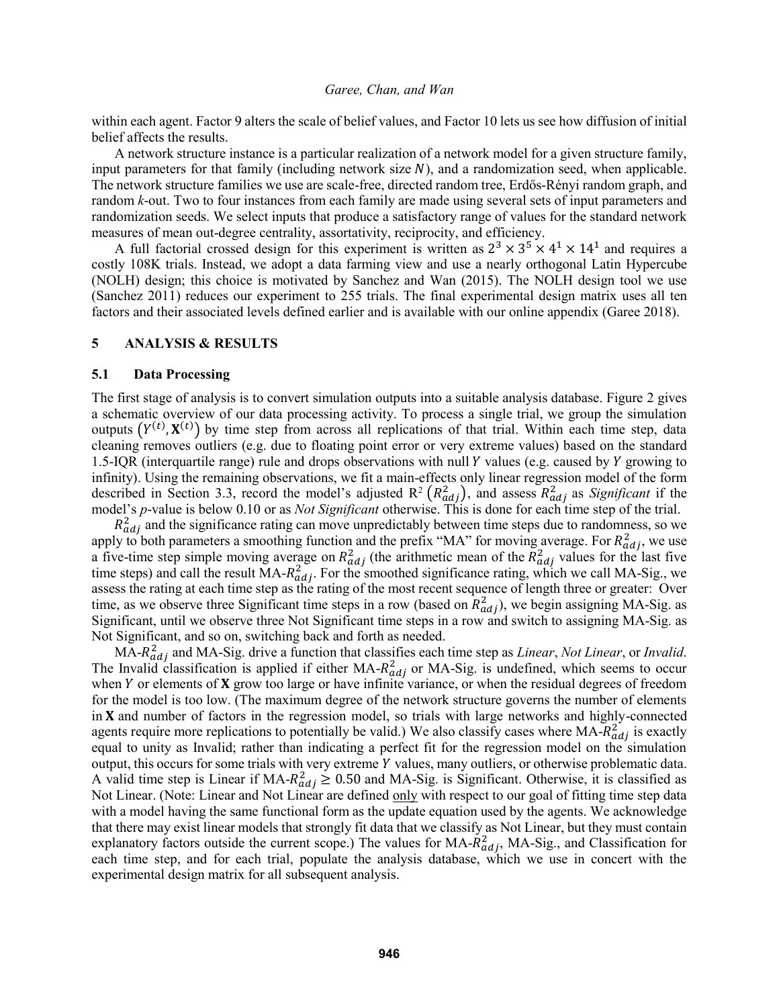within each agent. Factor 9 alters the scale of belief values, and Factor 10 lets us see how diffusion of initial belief affects the results.

A network structure instance is a particular realization of a network model for a given structure family, input parameters for that family (including network size  $N$ ), and a randomization seed, when applicable. The network structure families we use are scale-free, directed random tree, Erdős-Rényi random graph, and random *k*-out. Two to four instances from each family are made using several sets of input parameters and randomization seeds. We select inputs that produce a satisfactory range of values for the standard network measures of mean out-degree centrality, assortativity, reciprocity, and efficiency.

A full factorial crossed design for this experiment is written as  $2^3 \times 3^5 \times 4^1 \times 14^1$  and requires a costly 108K trials. Instead, we adopt a data farming view and use a nearly orthogonal Latin Hypercube (NOLH) design; this choice is motivated by Sanchez and Wan (2015). The NOLH design tool we use (Sanchez 2011) reduces our experiment to 255 trials. The final experimental design matrix uses all ten factors and their associated levels defined earlier and is available with our online appendix (Garee 2018).

## **5 ANALYSIS & RESULTS**

#### **5.1 Data Processing**

The first stage of analysis is to convert simulation outputs into a suitable analysis database. Figure 2 gives a schematic overview of our data processing activity. To process a single trial, we group the simulation outputs  $(Y^{(t)}, X^{(t)})$  by time step from across all replications of that trial. Within each time step, data cleaning removes outliers (e.g. due to floating point error or very extreme values) based on the standard 1.5-IQR (interquartile range) rule and drops observations with null  $Y$  values (e.g. caused by  $Y$  growing to infinity). Using the remaining observations, we fit a main-effects only linear regression model of the form described in Section 3.3, record the model's adjusted  $R^2(R^2_{adj})$ , and assess  $R^2_{adj}$  as *Significant* if the model's *p*-value is below 0.10 or as *Not Significant* otherwise. This is done for each time step of the trial.

 $R_{adj}^2$  and the significance rating can move unpredictably between time steps due to randomness, so we apply to both parameters a smoothing function and the prefix "MA" for moving average. For  $R_{adj}^2$ , we use a five-time step simple moving average on  $R_{adj}^2$  (the arithmetic mean of the  $R_{adj}^2$  values for the last five time steps) and call the result  $MA-R_{adj}^2$ . For the smoothed significance rating, which we call MA-Sig., we assess the rating at each time step as the rating of the most recent sequence of length three or greater: Over time, as we observe three Significant time steps in a row (based on  $R_{adj}^2$ ), we begin assigning MA-Sig. as Significant, until we observe three Not Significant time steps in a row and switch to assigning MA-Sig. as Not Significant, and so on, switching back and forth as needed.

MA- 2 and MA-Sig. drive a function that classifies each time step as *Linear*, *Not Linear*, or *Invalid*. The Invalid classification is applied if either  $MA-R_{adj}^2$  or MA-Sig. is undefined, which seems to occur when  $Y$  or elements of  $X$  grow too large or have infinite variance, or when the residual degrees of freedom for the model is too low. (The maximum degree of the network structure governs the number of elements in  $X$  and number of factors in the regression model, so trials with large networks and highly-connected agents require more replications to potentially be valid.) We also classify cases where  $MA-R_{adj}^2$  is exactly equal to unity as Invalid; rather than indicating a perfect fit for the regression model on the simulation output, this occurs for some trials with very extreme Y values, many outliers, or otherwise problematic data. A valid time step is Linear if MA- $R_{adj}^2 \ge 0.50$  and MA-Sig. is Significant. Otherwise, it is classified as Not Linear. (Note: Linear and Not Linear are defined only with respect to our goal of fitting time step data with a model having the same functional form as the update equation used by the agents. We acknowledge that there may exist linear models that strongly fit data that we classify as Not Linear, but they must contain explanatory factors outside the current scope.) The values for  $MA-R_{adj}^2$ ,  $MA-Sig$ , and Classification for each time step, and for each trial, populate the analysis database, which we use in concert with the experimental design matrix for all subsequent analysis.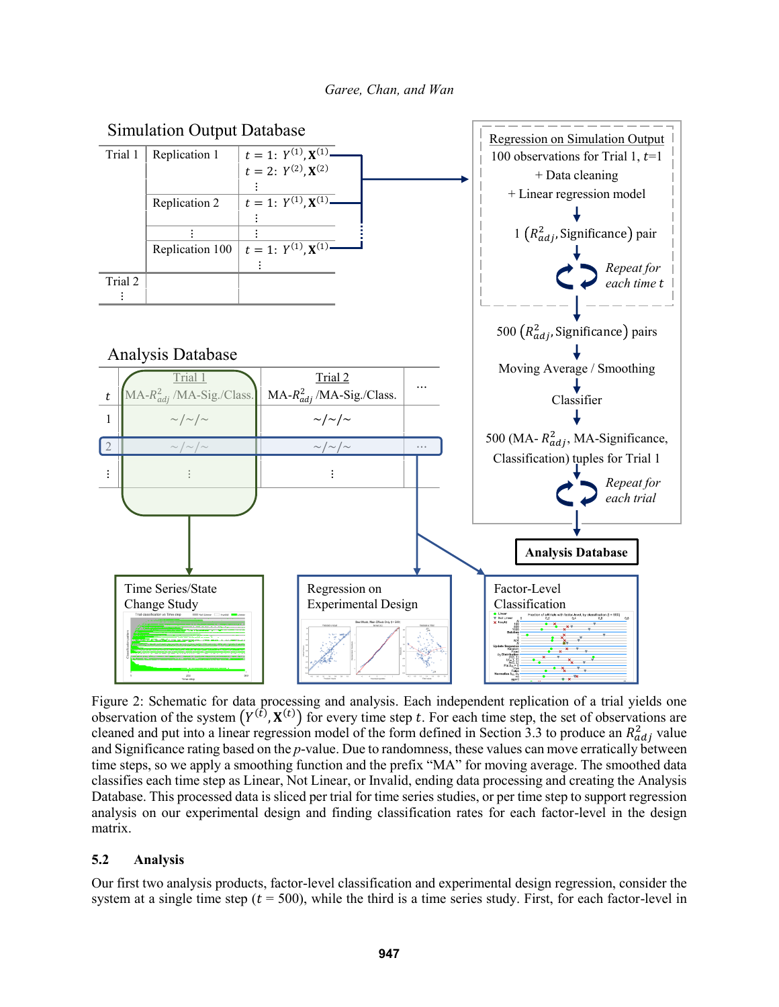

Figure 2: Schematic for data processing and analysis. Each independent replication of a trial yields one observation of the system  $(Y^{(t)}, X^{(t)})$  for every time step t. For each time step, the set of observations are cleaned and put into a linear regression model of the form defined in Section 3.3 to produce an  $R_{adj}^2$  value and Significance rating based on the *p*-value. Due to randomness, these values can move erratically between time steps, so we apply a smoothing function and the prefix "MA" for moving average. The smoothed data classifies each time step as Linear, Not Linear, or Invalid, ending data processing and creating the Analysis Database. This processed data is sliced per trial for time series studies, or per time step to support regression analysis on our experimental design and finding classification rates for each factor-level in the design matrix.

# **5.2 Analysis**

Our first two analysis products, factor-level classification and experimental design regression, consider the system at a single time step ( $t = 500$ ), while the third is a time series study. First, for each factor-level in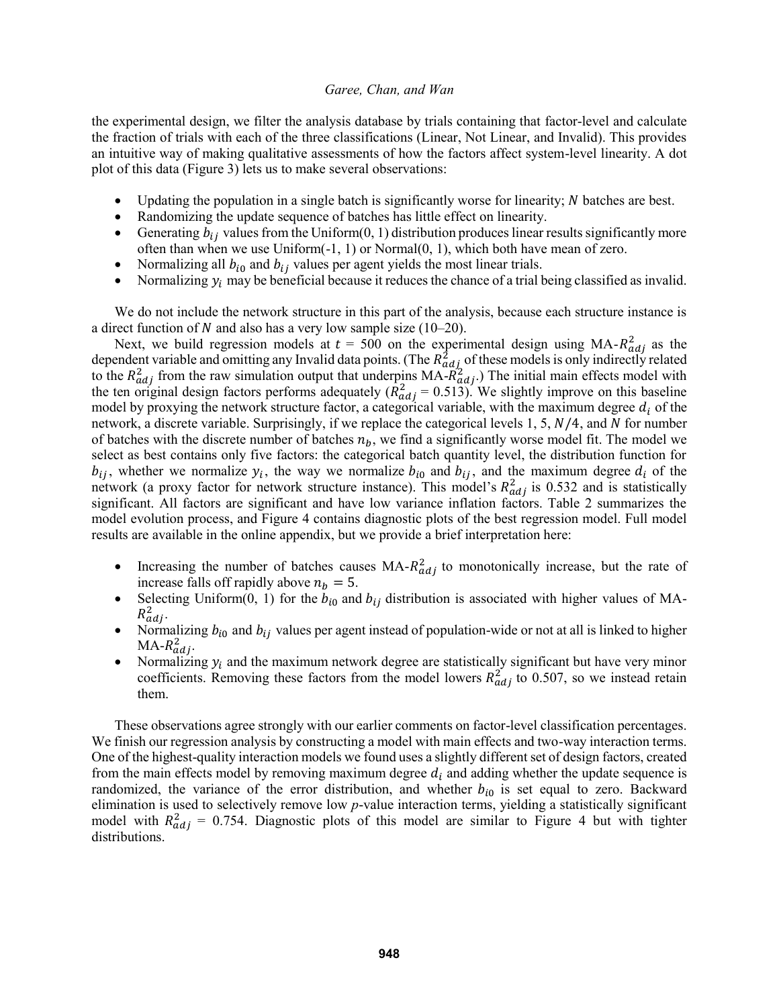the experimental design, we filter the analysis database by trials containing that factor-level and calculate the fraction of trials with each of the three classifications (Linear, Not Linear, and Invalid). This provides an intuitive way of making qualitative assessments of how the factors affect system-level linearity. A dot plot of this data (Figure 3) lets us to make several observations:

- Updating the population in a single batch is significantly worse for linearity;  $N$  batches are best.
- Randomizing the update sequence of batches has little effect on linearity.
- Generating  $b_{ij}$  values from the Uniform(0, 1) distribution produces linear results significantly more often than when we use Uniform(-1, 1) or Normal(0, 1), which both have mean of zero.
- Normalizing all  $b_{i0}$  and  $b_{ij}$  values per agent yields the most linear trials.
- Normalizing  $y_i$  may be beneficial because it reduces the chance of a trial being classified as invalid.

We do not include the network structure in this part of the analysis, because each structure instance is a direct function of N and also has a very low sample size  $(10-20)$ .

Next, we build regression models at  $t = 500$  on the experimental design using MA- $R_{adj}^2$  as the dependent variable and omitting any Invalid data points. (The  $R_{adj}^2$  of these models is only indirectly related to the  $R_{adj}^2$  from the raw simulation output that underpins  $MA-R_{adj}^2$ .) The initial main effects model with the ten original design factors performs adequately  $(\hat{R}_{adj}^2 = 0.513)$ . We slightly improve on this baseline model by proxying the network structure factor, a categorical variable, with the maximum degree  $d_i$  of the network, a discrete variable. Surprisingly, if we replace the categorical levels 1, 5,  $N/4$ , and  $N$  for number of batches with the discrete number of batches  $n<sub>b</sub>$ , we find a significantly worse model fit. The model we select as best contains only five factors: the categorical batch quantity level, the distribution function for  $b_{ij}$ , whether we normalize  $y_i$ , the way we normalize  $b_{i0}$  and  $b_{ij}$ , and the maximum degree  $d_i$  of the network (a proxy factor for network structure instance). This model's  $R_{adj}^2$  is 0.532 and is statistically significant. All factors are significant and have low variance inflation factors. Table 2 summarizes the model evolution process, and Figure 4 contains diagnostic plots of the best regression model. Full model results are available in the online appendix, but we provide a brief interpretation here:

- Increasing the number of batches causes  $MA-R_{adj}^2$  to monotonically increase, but the rate of increase falls off rapidly above  $n_b = 5$ .
- Selecting Uniform(0, 1) for the  $b_{i0}$  and  $b_{ij}$  distribution is associated with higher values of MA- $R_{adj}^2$ .
- Normalizing  $b_{i0}$  and  $b_{ij}$  values per agent instead of population-wide or not at all is linked to higher  $MA-R^2_{adj}.$
- Normalizing  $y_i$  and the maximum network degree are statistically significant but have very minor coefficients. Removing these factors from the model lowers  $R_{adj}^2$  to 0.507, so we instead retain them.

These observations agree strongly with our earlier comments on factor-level classification percentages. We finish our regression analysis by constructing a model with main effects and two-way interaction terms. One of the highest-quality interaction models we found uses a slightly different set of design factors, created from the main effects model by removing maximum degree  $d_i$  and adding whether the update sequence is randomized, the variance of the error distribution, and whether  $b_{i0}$  is set equal to zero. Backward elimination is used to selectively remove low *p*-value interaction terms, yielding a statistically significant model with  $R_{adj}^2 = 0.754$ . Diagnostic plots of this model are similar to Figure 4 but with tighter distributions.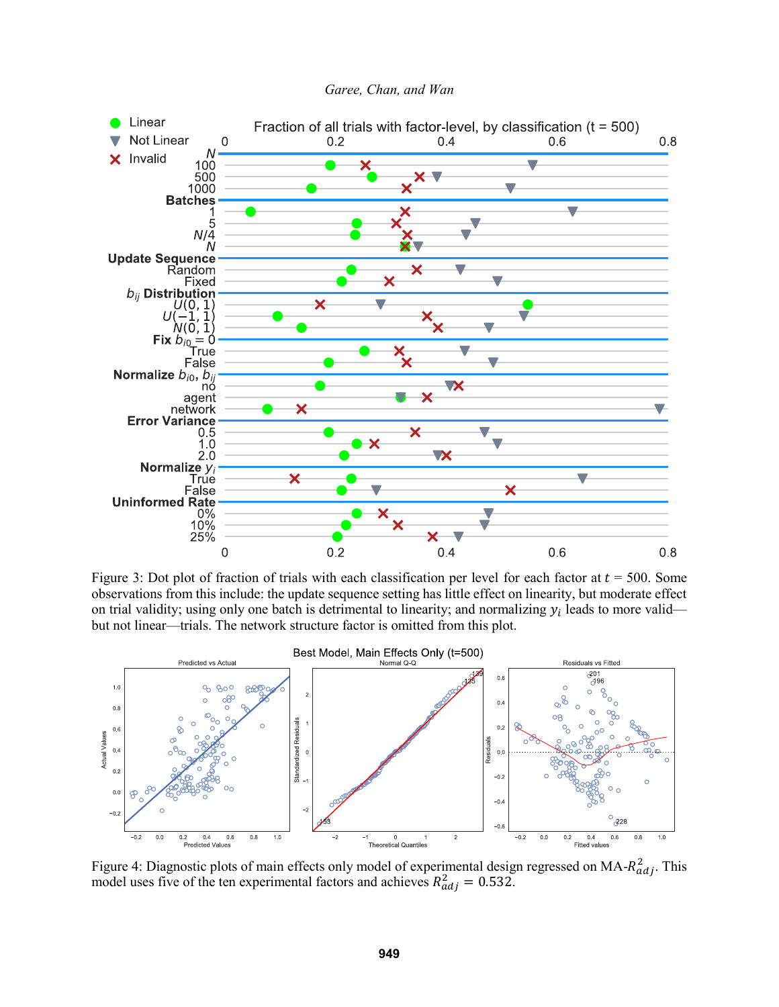

Figure 3: Dot plot of fraction of trials with each classification per level for each factor at  $t = 500$ . Some observations from this include: the update sequence setting has little effect on linearity, but moderate effect on trial validity; using only one batch is detrimental to linearity; and normalizing  $y_i$  leads to more valid but not linear—trials. The network structure factor is omitted from this plot.



Figure 4: Diagnostic plots of main effects only model of experimental design regressed on MA- $R_{adj}^2$ . This model uses five of the ten experimental factors and achieves  $R_{adj}^2 = 0.532$ .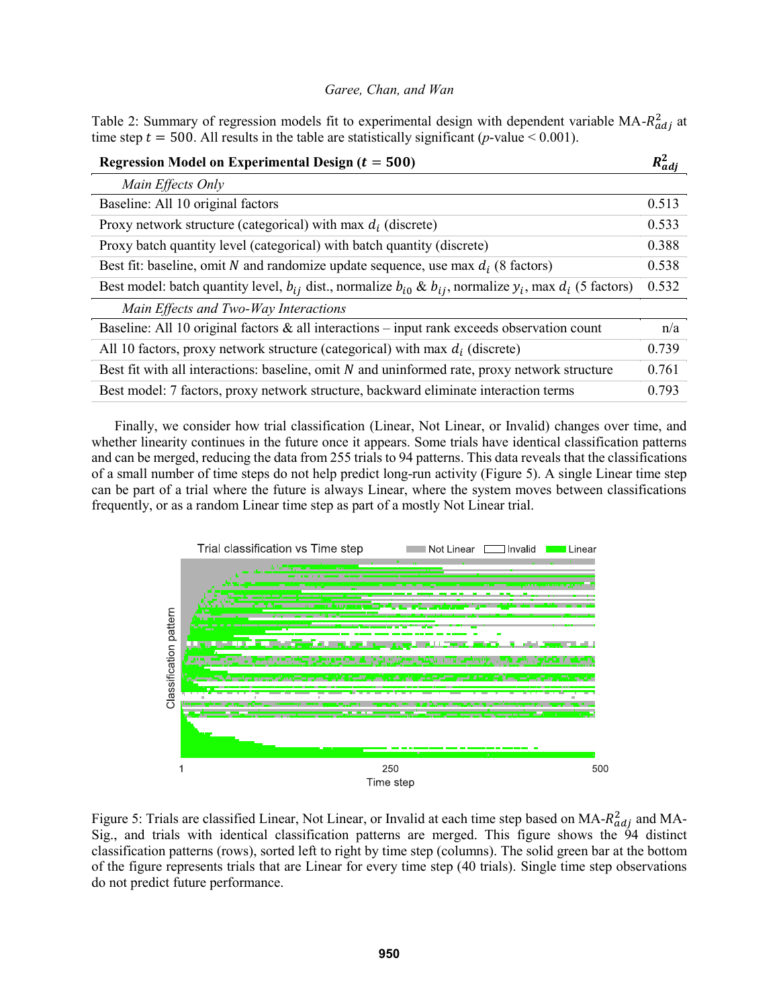Table 2: Summary of regression models fit to experimental design with dependent variable  $MA-R^2_{adj}$  at time step  $t = 500$ . All results in the table are statistically significant (*p*-value < 0.001).

| Regression Model on Experimental Design $(t = 500)$                                                                       | $R_{aa}^2$ |
|---------------------------------------------------------------------------------------------------------------------------|------------|
| Main Effects Only                                                                                                         |            |
| Baseline: All 10 original factors                                                                                         | 0.513      |
| Proxy network structure (categorical) with max $d_i$ (discrete)                                                           | 0.533      |
| Proxy batch quantity level (categorical) with batch quantity (discrete)                                                   | 0.388      |
| Best fit: baseline, omit N and randomize update sequence, use max $d_i$ (8 factors)                                       | 0.538      |
| Best model: batch quantity level, $b_{ij}$ dist., normalize $b_{i0}$ & $b_{ij}$ , normalize $y_i$ , max $d_i$ (5 factors) | 0.532      |
| Main Effects and Two-Way Interactions                                                                                     |            |
| Baseline: All 10 original factors $\&$ all interactions – input rank exceeds observation count                            | n/a        |
| All 10 factors, proxy network structure (categorical) with max $d_i$ (discrete)                                           | 0.739      |
| Best fit with all interactions: baseline, omit $N$ and uninformed rate, proxy network structure                           | 0.761      |
| Best model: 7 factors, proxy network structure, backward eliminate interaction terms                                      | 0.793      |

Finally, we consider how trial classification (Linear, Not Linear, or Invalid) changes over time, and whether linearity continues in the future once it appears. Some trials have identical classification patterns and can be merged, reducing the data from 255 trials to 94 patterns. This data reveals that the classifications of a small number of time steps do not help predict long-run activity (Figure 5). A single Linear time step can be part of a trial where the future is always Linear, where the system moves between classifications frequently, or as a random Linear time step as part of a mostly Not Linear trial.



Figure 5: Trials are classified Linear, Not Linear, or Invalid at each time step based on  $MA-R^2_{adj}$  and MA-Sig., and trials with identical classification patterns are merged. This figure shows the 94 distinct classification patterns (rows), sorted left to right by time step (columns). The solid green bar at the bottom of the figure represents trials that are Linear for every time step (40 trials). Single time step observations do not predict future performance.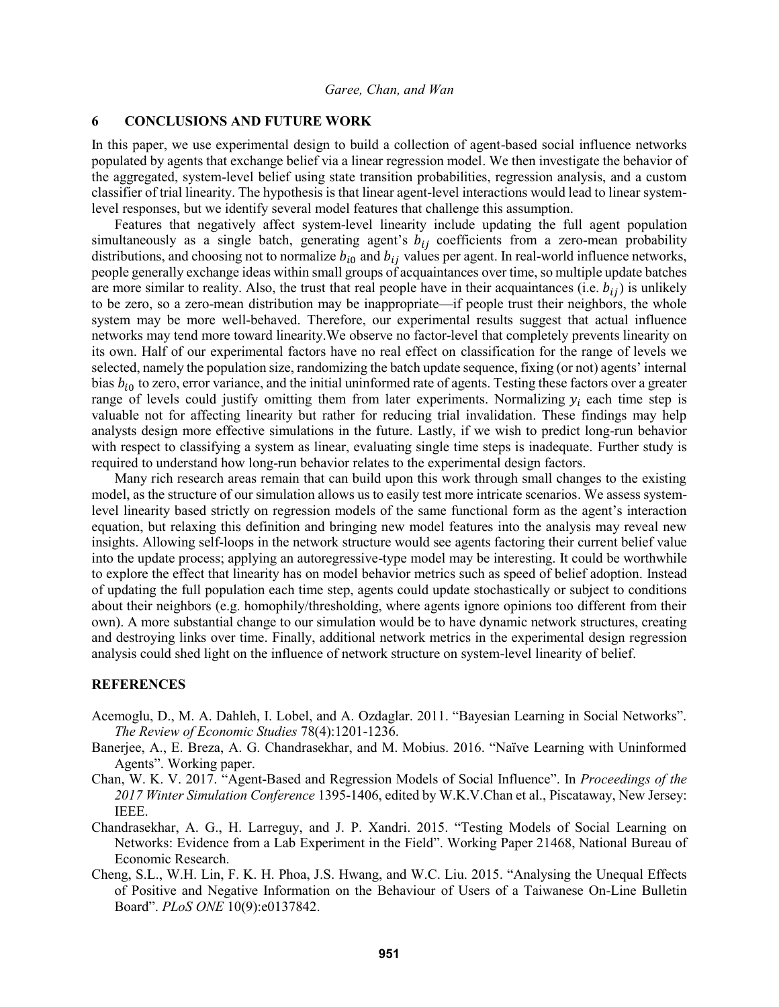# **6 CONCLUSIONS AND FUTURE WORK**

In this paper, we use experimental design to build a collection of agent-based social influence networks populated by agents that exchange belief via a linear regression model. We then investigate the behavior of the aggregated, system-level belief using state transition probabilities, regression analysis, and a custom classifier of trial linearity. The hypothesis is that linear agent-level interactions would lead to linear systemlevel responses, but we identify several model features that challenge this assumption.

Features that negatively affect system-level linearity include updating the full agent population simultaneously as a single batch, generating agent's  $b_{ij}$  coefficients from a zero-mean probability distributions, and choosing not to normalize  $b_{i0}$  and  $b_{ij}$  values per agent. In real-world influence networks, people generally exchange ideas within small groups of acquaintances over time, so multiple update batches are more similar to reality. Also, the trust that real people have in their acquaintances (i.e.  $b_{ij}$ ) is unlikely to be zero, so a zero-mean distribution may be inappropriate—if people trust their neighbors, the whole system may be more well-behaved. Therefore, our experimental results suggest that actual influence networks may tend more toward linearity.We observe no factor-level that completely prevents linearity on its own. Half of our experimental factors have no real effect on classification for the range of levels we selected, namely the population size, randomizing the batch update sequence, fixing (or not) agents' internal bias  $b_{i0}$  to zero, error variance, and the initial uninformed rate of agents. Testing these factors over a greater range of levels could justify omitting them from later experiments. Normalizing  $y_i$  each time step is valuable not for affecting linearity but rather for reducing trial invalidation. These findings may help analysts design more effective simulations in the future. Lastly, if we wish to predict long-run behavior with respect to classifying a system as linear, evaluating single time steps is inadequate. Further study is required to understand how long-run behavior relates to the experimental design factors.

Many rich research areas remain that can build upon this work through small changes to the existing model, as the structure of our simulation allows us to easily test more intricate scenarios. We assess systemlevel linearity based strictly on regression models of the same functional form as the agent's interaction equation, but relaxing this definition and bringing new model features into the analysis may reveal new insights. Allowing self-loops in the network structure would see agents factoring their current belief value into the update process; applying an autoregressive-type model may be interesting. It could be worthwhile to explore the effect that linearity has on model behavior metrics such as speed of belief adoption. Instead of updating the full population each time step, agents could update stochastically or subject to conditions about their neighbors (e.g. homophily/thresholding, where agents ignore opinions too different from their own). A more substantial change to our simulation would be to have dynamic network structures, creating and destroying links over time. Finally, additional network metrics in the experimental design regression analysis could shed light on the influence of network structure on system-level linearity of belief.

# **REFERENCES**

- Acemoglu, D., M. A. Dahleh, I. Lobel, and A. Ozdaglar. 2011. "Bayesian Learning in Social Networks". *The Review of Economic Studies* 78(4):1201-1236.
- Banerjee, A., E. Breza, A. G. Chandrasekhar, and M. Mobius. 2016. "Naïve Learning with Uninformed Agents". Working paper.
- Chan, W. K. V. 2017. "Agent-Based and Regression Models of Social Influence". In *Proceedings of the 2017 Winter Simulation Conference* 1395-1406, edited by W.K.V.Chan et al., Piscataway, New Jersey: IEEE.
- Chandrasekhar, A. G., H. Larreguy, and J. P. Xandri. 2015. "Testing Models of Social Learning on Networks: Evidence from a Lab Experiment in the Field". Working Paper 21468, National Bureau of Economic Research.
- Cheng, S.L., W.H. Lin, F. K. H. Phoa, J.S. Hwang, and W.C. Liu. 2015. "Analysing the Unequal Effects of Positive and Negative Information on the Behaviour of Users of a Taiwanese On-Line Bulletin Board". *PLoS ONE* 10(9):e0137842.